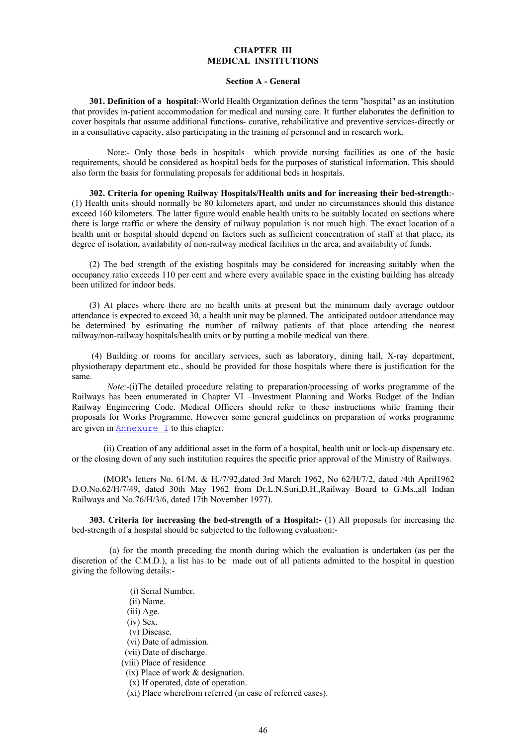#### **CHAPTER III MEDICAL INSTITUTIONS**

#### **Section A - General**

 **301. Definition of a hospital**:-World Health Organization defines the term "hospital" as an institution that provides in-patient accommodation for medical and nursing care. It further elaborates the definition to cover hospitals that assume additional functions- curative, rehabilitative and preventive services-directly or in a consultative capacity, also participating in the training of personnel and in research work.

 Note:- Only those beds in hospitals which provide nursing facilities as one of the basic requirements, should be considered as hospital beds for the purposes of statistical information. This should also form the basis for formulating proposals for additional beds in hospitals.

 **302. Criteria for opening Railway Hospitals/Health units and for increasing their bed-strength**:- (1) Health units should normally be 80 kilometers apart, and under no circumstances should this distance exceed 160 kilometers. The latter figure would enable health units to be suitably located on sections where there is large traffic or where the density of railway population is not much high. The exact location of a health unit or hospital should depend on factors such as sufficient concentration of staff at that place, its degree of isolation, availability of non-railway medical facilities in the area, and availability of funds.

 (2) The bed strength of the existing hospitals may be considered for increasing suitably when the occupancy ratio exceeds 110 per cent and where every available space in the existing building has already been utilized for indoor beds.

 (3) At places where there are no health units at present but the minimum daily average outdoor attendance is expected to exceed 30, a health unit may be planned. The anticipated outdoor attendance may be determined by estimating the number of railway patients of that place attending the nearest railway/non-railway hospitals/health units or by putting a mobile medical van there.

 (4) Building or rooms for ancillary services, such as laboratory, dining hall, X-ray department, physiotherapy department etc., should be provided for those hospitals where there is justification for the same.

*Note*:-(i)The detailed procedure relating to preparation/processing of works programme of the Railways has been enumerated in Chapter VI –Investment Planning and Works Budget of the Indian Railway Engineering Code. Medical Officers should refer to these instructions while framing their proposals for Works Programme. However some general guidelines on preparation of works programme are given in Annexure  $I$  to this chapter.

 (ii) Creation of any additional asset in the form of a hospital, health unit or lock-up dispensary etc. or the closing down of any such institution requires the specific prior approval of the Ministry of Railways.

 (MOR's letters No. 61/M. & H./7/92,dated 3rd March 1962, No 62/H/7/2, dated /4th April1962 D.O.No.62/H/7/49, dated 30th May 1962 from Dr.L.N.Suri,D.H.,Railway Board to G.Ms.,all Indian Railways and No.76/H/3/6, dated 17th November 1977).

 **303. Criteria for increasing the bed-strength of a Hospital:-** (1) All proposals for increasing the bed-strength of a hospital should be subjected to the following evaluation:-

 (a) for the month preceding the month during which the evaluation is undertaken (as per the discretion of the C.M.D.), a list has to be made out of all patients admitted to the hospital in question giving the following details:-

- (i) Serial Number.
- (ii) Name.
- (iii) Age.
- (iv) Sex.
- (v) Disease.
- (vi) Date of admission.
- (vii) Date of discharge.
- (viii) Place of residence
- (ix) Place of work & designation.
- (x) If operated, date of operation.
- (xi) Place wherefrom referred (in case of referred cases).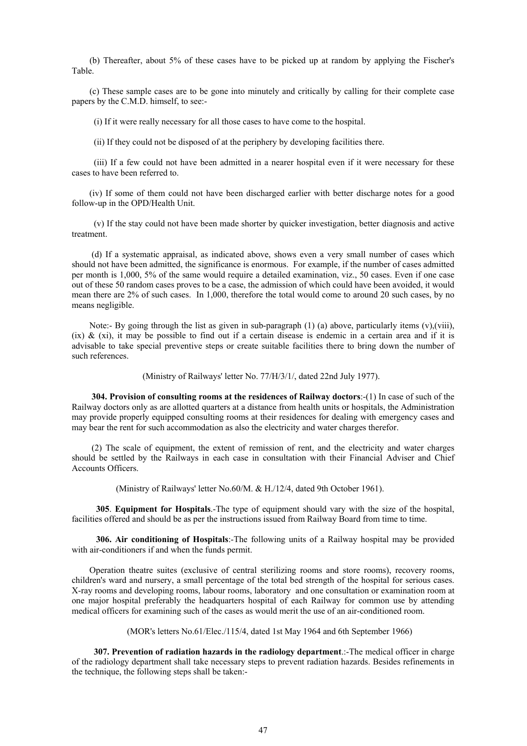(b) Thereafter, about 5% of these cases have to be picked up at random by applying the Fischer's Table.

 (c) These sample cases are to be gone into minutely and critically by calling for their complete case papers by the C.M.D. himself, to see:-

(i) If it were really necessary for all those cases to have come to the hospital.

(ii) If they could not be disposed of at the periphery by developing facilities there.

 (iii) If a few could not have been admitted in a nearer hospital even if it were necessary for these cases to have been referred to.

 (iv) If some of them could not have been discharged earlier with better discharge notes for a good follow-up in the OPD/Health Unit.

 (v) If the stay could not have been made shorter by quicker investigation, better diagnosis and active treatment.

 (d) If a systematic appraisal, as indicated above, shows even a very small number of cases which should not have been admitted, the significance is enormous. For example, if the number of cases admitted per month is 1,000, 5% of the same would require a detailed examination, viz., 50 cases. Even if one case out of these 50 random cases proves to be a case, the admission of which could have been avoided, it would mean there are 2% of such cases. In 1,000, therefore the total would come to around 20 such cases, by no means negligible.

Note:- By going through the list as given in sub-paragraph (1) (a) above, particularly items (y),(viii), (ix)  $\&$  (xi), it may be possible to find out if a certain disease is endemic in a certain area and if it is advisable to take special preventive steps or create suitable facilities there to bring down the number of such references.

(Ministry of Railways' letter No. 77/H/3/1/, dated 22nd July 1977).

 **304. Provision of consulting rooms at the residences of Railway doctors**:-(1) In case of such of the Railway doctors only as are allotted quarters at a distance from health units or hospitals, the Administration may provide properly equipped consulting rooms at their residences for dealing with emergency cases and may bear the rent for such accommodation as also the electricity and water charges therefor.

 (2) The scale of equipment, the extent of remission of rent, and the electricity and water charges should be settled by the Railways in each case in consultation with their Financial Adviser and Chief Accounts Officers.

(Ministry of Railways' letter No.60/M. & H./12/4, dated 9th October 1961).

 **305**. **Equipment for Hospitals**.-The type of equipment should vary with the size of the hospital, facilities offered and should be as per the instructions issued from Railway Board from time to time.

 **306. Air conditioning of Hospitals**:-The following units of a Railway hospital may be provided with air-conditioners if and when the funds permit.

 Operation theatre suites (exclusive of central sterilizing rooms and store rooms), recovery rooms, children's ward and nursery, a small percentage of the total bed strength of the hospital for serious cases. X-ray rooms and developing rooms, labour rooms, laboratory and one consultation or examination room at one major hospital preferably the headquarters hospital of each Railway for common use by attending medical officers for examining such of the cases as would merit the use of an air-conditioned room.

(MOR's letters No.61/Elec./115/4, dated 1st May 1964 and 6th September 1966)

 **307. Prevention of radiation hazards in the radiology department**.:-The medical officer in charge of the radiology department shall take necessary steps to prevent radiation hazards. Besides refinements in the technique, the following steps shall be taken:-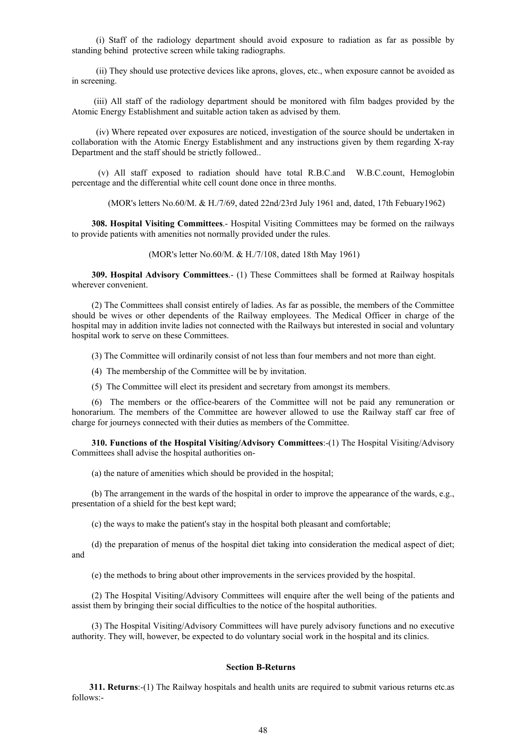(i) Staff of the radiology department should avoid exposure to radiation as far as possible by standing behind protective screen while taking radiographs.

 (ii) They should use protective devices like aprons, gloves, etc., when exposure cannot be avoided as in screening.

 (iii) All staff of the radiology department should be monitored with film badges provided by the Atomic Energy Establishment and suitable action taken as advised by them.

 (iv) Where repeated over exposures are noticed, investigation of the source should be undertaken in collaboration with the Atomic Energy Establishment and any instructions given by them regarding X-ray Department and the staff should be strictly followed..

 (v) All staff exposed to radiation should have total R.B.C.and W.B.C.count, Hemoglobin percentage and the differential white cell count done once in three months.

(MOR's letters No.60/M. & H./7/69, dated 22nd/23rd July 1961 and, dated, 17th Febuary1962)

 **308. Hospital Visiting Committees**.- Hospital Visiting Committees may be formed on the railways to provide patients with amenities not normally provided under the rules.

(MOR's letter No.60/M. & H./7/108, dated 18th May 1961)

 **309. Hospital Advisory Committees**.- (1) These Committees shall be formed at Railway hospitals wherever convenient.

 (2) The Committees shall consist entirely of ladies. As far as possible, the members of the Committee should be wives or other dependents of the Railway employees. The Medical Officer in charge of the hospital may in addition invite ladies not connected with the Railways but interested in social and voluntary hospital work to serve on these Committees.

(3) The Committee will ordinarily consist of not less than four members and not more than eight.

- (4) The membership of the Committee will be by invitation.
- (5) The Committee will elect its president and secretary from amongst its members.

 (6) The members or the office-bearers of the Committee will not be paid any remuneration or honorarium. The members of the Committee are however allowed to use the Railway staff car free of charge for journeys connected with their duties as members of the Committee.

**310. Functions of the Hospital Visiting/Advisory Committees:-(1) The Hospital Visiting/Advisory** Committees shall advise the hospital authorities on-

(a) the nature of amenities which should be provided in the hospital;

 (b) The arrangement in the wards of the hospital in order to improve the appearance of the wards, e.g., presentation of a shield for the best kept ward;

(c) the ways to make the patient's stay in the hospital both pleasant and comfortable;

 (d) the preparation of menus of the hospital diet taking into consideration the medical aspect of diet; and

(e) the methods to bring about other improvements in the services provided by the hospital.

 (2) The Hospital Visiting/Advisory Committees will enquire after the well being of the patients and assist them by bringing their social difficulties to the notice of the hospital authorities.

 (3) The Hospital Visiting/Advisory Committees will have purely advisory functions and no executive authority. They will, however, be expected to do voluntary social work in the hospital and its clinics.

## **Section B-Returns**

 **311. Returns**:-(1) The Railway hospitals and health units are required to submit various returns etc.as follows:-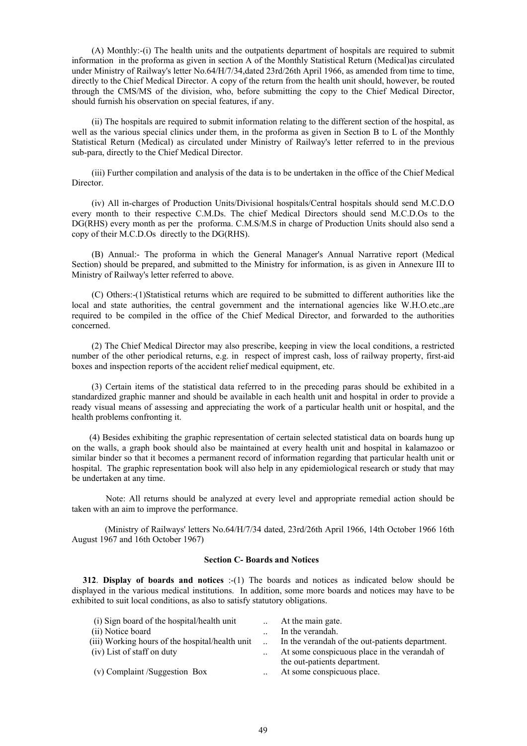(A) Monthly:-(i) The health units and the outpatients department of hospitals are required to submit information in the proforma as given in section A of the Monthly Statistical Return (Medical)as circulated under Ministry of Railway's letter No.64/H/7/34,dated 23rd/26th April 1966, as amended from time to time, directly to the Chief Medical Director. A copy of the return from the health unit should, however, be routed through the CMS/MS of the division, who, before submitting the copy to the Chief Medical Director, should furnish his observation on special features, if any.

 (ii) The hospitals are required to submit information relating to the different section of the hospital, as well as the various special clinics under them, in the proforma as given in Section B to L of the Monthly Statistical Return (Medical) as circulated under Ministry of Railway's letter referred to in the previous sub-para, directly to the Chief Medical Director.

 (iii) Further compilation and analysis of the data is to be undertaken in the office of the Chief Medical Director.

 (iv) All in-charges of Production Units/Divisional hospitals/Central hospitals should send M.C.D.O every month to their respective C.M.Ds. The chief Medical Directors should send M.C.D.Os to the DG(RHS) every month as per the proforma. C.M.S/M.S in charge of Production Units should also send a copy of their M.C.D.Os directly to the DG(RHS).

 (B) Annual:- The proforma in which the General Manager's Annual Narrative report (Medical Section) should be prepared, and submitted to the Ministry for information, is as given in Annexure III to Ministry of Railway's letter referred to above.

 (C) Others:-(1)Statistical returns which are required to be submitted to different authorities like the local and state authorities, the central government and the international agencies like W.H.O.etc.,are required to be compiled in the office of the Chief Medical Director, and forwarded to the authorities concerned.

 (2) The Chief Medical Director may also prescribe, keeping in view the local conditions, a restricted number of the other periodical returns, e.g. in respect of imprest cash, loss of railway property, first-aid boxes and inspection reports of the accident relief medical equipment, etc.

 (3) Certain items of the statistical data referred to in the preceding paras should be exhibited in a standardized graphic manner and should be available in each health unit and hospital in order to provide a ready visual means of assessing and appreciating the work of a particular health unit or hospital, and the health problems confronting it.

 (4) Besides exhibiting the graphic representation of certain selected statistical data on boards hung up on the walls, a graph book should also be maintained at every health unit and hospital in kalamazoo or similar binder so that it becomes a permanent record of information regarding that particular health unit or hospital. The graphic representation book will also help in any epidemiological research or study that may be undertaken at any time.

 Note: All returns should be analyzed at every level and appropriate remedial action should be taken with an aim to improve the performance.

 (Ministry of Railways' letters No.64/H/7/34 dated, 23rd/26th April 1966, 14th October 1966 16th August 1967 and 16th October 1967)

## **Section C- Boards and Notices**

**312. Display of boards and notices** :-(1) The boards and notices as indicated below should be displayed in the various medical institutions. In addition, some more boards and notices may have to be exhibited to suit local conditions, as also to satisfy statutory obligations.

| (i) Sign board of the hospital/health unit      |                      | At the main gate.                               |
|-------------------------------------------------|----------------------|-------------------------------------------------|
| (ii) Notice board                               |                      | In the verandah.                                |
| (iii) Working hours of the hospital/health unit |                      | In the verandah of the out-patients department. |
| (iv) List of staff on duty                      | $\ddot{\phantom{0}}$ | At some conspicuous place in the verandah of    |
|                                                 |                      | the out-patients department.                    |
| (v) Complaint /Suggestion Box                   |                      | At some conspicuous place.                      |
|                                                 |                      |                                                 |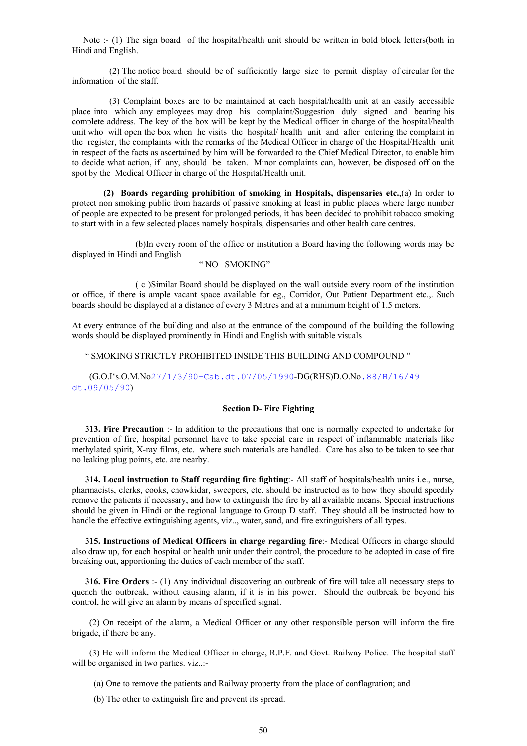Note :- (1) The sign board of the hospital/health unit should be written in bold block letters(both in Hindi and English.

 (2) The notice board should be of sufficiently large size to permit display of circular for the information of the staff.

 (3) Complaint boxes are to be maintained at each hospital/health unit at an easily accessible place into which any employees may drop his complaint/Suggestion duly signed and bearing his complete address. The key of the box will be kept by the Medical officer in charge of the hospital/health unit who will open the box when he visits the hospital/ health unit and after entering the complaint in the register, the complaints with the remarks of the Medical Officer in charge of the Hospital/Health unit in respect of the facts as ascertained by him will be forwarded to the Chief Medical Director, to enable him to decide what action, if any, should be taken. Minor complaints can, however, be disposed off on the spot by the Medical Officer in charge of the Hospital/Health unit.

**(2) Boards regarding prohibition of smoking in Hospitals, dispensaries etc.**,(a) In order to protect non smoking public from hazards of passive smoking at least in public places where large number of people are expected to be present for prolonged periods, it has been decided to prohibit tobacco smoking to start with in a few selected places namely hospitals, dispensaries and other health care centres.

 (b)In every room of the office or institution a Board having the following words may be displayed in Hindi and English

### " NO SMOKING"

 ( c )Similar Board should be displayed on the wall outside every room of the institution or office, if there is ample vacant space available for eg., Corridor, Out Patient Department etc.,. Such boards should be displayed at a distance of every 3 Metres and at a minimum height of 1.5 meters.

At every entrance of the building and also at the entrance of the compound of the building the following words should be displayed prominently in Hindi and English with suitable visuals

" SMOKING STRICTLY PROHIBITED INSIDE THIS BUILDING AND COMPOUND "

 (G.O.I's.O.M.No27/1/3/90-Cab.dt.07/05/1990-DG(RHS)D.O.No.88/H/16/49 dt.09/05/90)

### **Section D- Fire Fighting**

 **313. Fire Precaution** :- In addition to the precautions that one is normally expected to undertake for prevention of fire, hospital personnel have to take special care in respect of inflammable materials like methylated spirit, X-ray films, etc. where such materials are handled. Care has also to be taken to see that no leaking plug points, etc. are nearby.

 **314. Local instruction to Staff regarding fire fighting**:- All staff of hospitals/health units i.e., nurse, pharmacists, clerks, cooks, chowkidar, sweepers, etc. should be instructed as to how they should speedily remove the patients if necessary, and how to extinguish the fire by all available means. Special instructions should be given in Hindi or the regional language to Group D staff. They should all be instructed how to handle the effective extinguishing agents, viz.., water, sand, and fire extinguishers of all types.

 **315. Instructions of Medical Officers in charge regarding fire**:- Medical Officers in charge should also draw up, for each hospital or health unit under their control, the procedure to be adopted in case of fire breaking out, apportioning the duties of each member of the staff.

 **316. Fire Orders** :- (1) Any individual discovering an outbreak of fire will take all necessary steps to quench the outbreak, without causing alarm, if it is in his power. Should the outbreak be beyond his control, he will give an alarm by means of specified signal.

 (2) On receipt of the alarm, a Medical Officer or any other responsible person will inform the fire brigade, if there be any.

 (3) He will inform the Medical Officer in charge, R.P.F. and Govt. Railway Police. The hospital staff will be organised in two parties. viz..:-

(a) One to remove the patients and Railway property from the place of conflagration; and

(b) The other to extinguish fire and prevent its spread.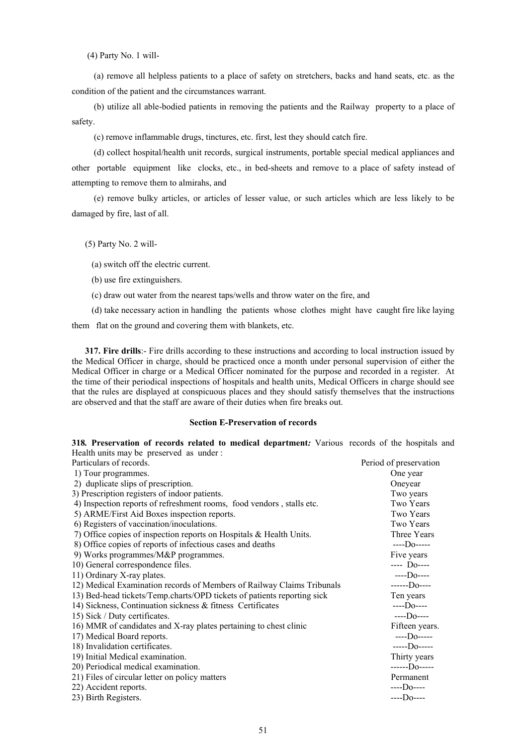(4) Party No. 1 will-

 (a) remove all helpless patients to a place of safety on stretchers, backs and hand seats, etc. as the condition of the patient and the circumstances warrant.

 (b) utilize all able-bodied patients in removing the patients and the Railway property to a place of safety.

(c) remove inflammable drugs, tinctures, etc. first, lest they should catch fire.

 (d) collect hospital/health unit records, surgical instruments, portable special medical appliances and other portable equipment like clocks, etc., in bed-sheets and remove to a place of safety instead of attempting to remove them to almirahs, and

 (e) remove bulky articles, or articles of lesser value, or such articles which are less likely to be damaged by fire, last of all.

(5) Party No. 2 will-

(a) switch off the electric current.

- (b) use fire extinguishers.
- (c) draw out water from the nearest taps/wells and throw water on the fire, and
- (d) take necessary action in handling the patients whose clothes might have caught fire like laying

them flat on the ground and covering them with blankets, etc.

 **317. Fire drills**:- Fire drills according to these instructions and according to local instruction issued by the Medical Officer in charge, should be practiced once a month under personal supervision of either the Medical Officer in charge or a Medical Officer nominated for the purpose and recorded in a register. At the time of their periodical inspections of hospitals and health units, Medical Officers in charge should see that the rules are displayed at conspicuous places and they should satisfy themselves that the instructions are observed and that the staff are aware of their duties when fire breaks out.

#### **Section E-Preservation of records**

**318***.* **Preservation of records related to medical department***:* Various records of the hospitals and Health units may be preserved as under :

| Particulars of records.                                                 | Period of preservation     |
|-------------------------------------------------------------------------|----------------------------|
| 1) Tour programmes.                                                     | One year                   |
| 2) duplicate slips of prescription.                                     | Oneyear                    |
| 3) Prescription registers of indoor patients.                           | Two years                  |
| 4) Inspection reports of refreshment rooms, food vendors, stalls etc.   | Two Years                  |
| 5) ARME/First Aid Boxes inspection reports.                             | Two Years                  |
| 6) Registers of vaccination/inoculations.                               | Two Years                  |
| 7) Office copies of inspection reports on Hospitals $\&$ Health Units.  | Three Years                |
| 8) Office copies of reports of infectious cases and deaths              | $---D0---$                 |
| 9) Works programmes/M&P programmes.                                     | Five years                 |
| 10) General correspondence files.                                       | $---$ D <sub>0</sub> $---$ |
| 11) Ordinary X-ray plates.                                              | $---D0---$                 |
| 12) Medical Examination records of Members of Railway Claims Tribunals  | $---D0---$                 |
| 13) Bed-head tickets/Temp.charts/OPD tickets of patients reporting sick | Ten years                  |
| 14) Sickness, Continuation sickness & fitness Certificates              | $---$ Do----               |
| 15) Sick / Duty certificates.                                           | $---D0---$                 |
| 16) MMR of candidates and X-ray plates pertaining to chest clinic       | Fifteen years.             |
| 17) Medical Board reports.                                              | $---$ Do-----              |
| 18) Invalidation certificates.                                          | $---D0---$                 |
| 19) Initial Medical examination.                                        | Thirty years               |
| 20) Periodical medical examination.                                     | $---D0---$                 |
| 21) Files of circular letter on policy matters                          | Permanent                  |
| 22) Accident reports.                                                   | $---$ Do----               |
| 23) Birth Registers.                                                    | $---$ Do----               |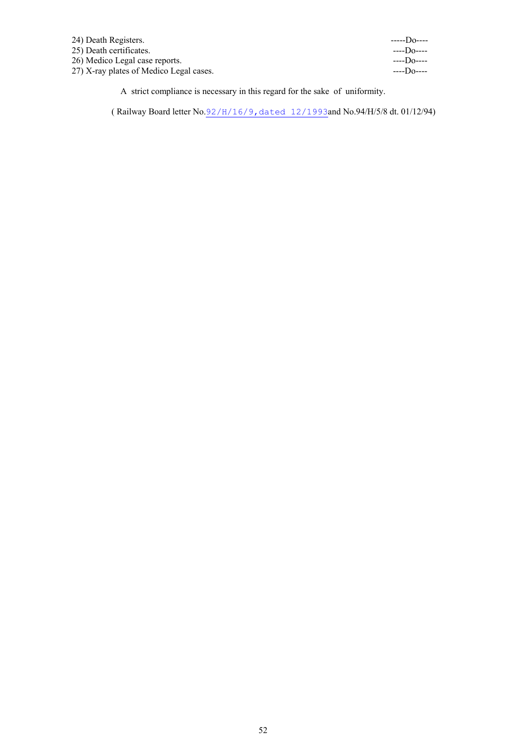| 24) Death Registers.                    | $---$ Do---- |
|-----------------------------------------|--------------|
| 25) Death certificates.                 | $---$ Do---- |
| 26) Medico Legal case reports.          | $---$ Do---- |
| 27) X-ray plates of Medico Legal cases. | $---$ Do---- |

A strict compliance is necessary in this regard for the sake of uniformity.

( Railway Board letter No.92/H/16/9,dated 12/1993and No.94/H/5/8 dt. 01/12/94)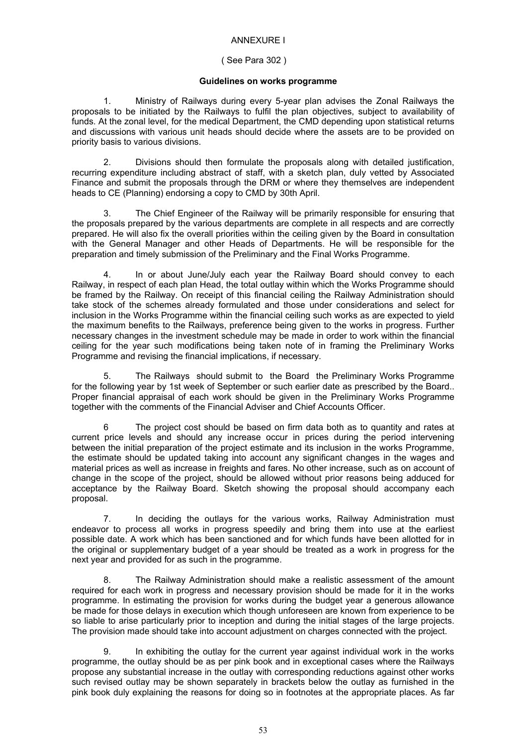# ANNEXURE I

## ( See Para 302 )

## **Guidelines on works programme**

 1. Ministry of Railways during every 5-year plan advises the Zonal Railways the proposals to be initiated by the Railways to fulfil the plan objectives, subject to availability of funds. At the zonal level, for the medical Department, the CMD depending upon statistical returns and discussions with various unit heads should decide where the assets are to be provided on priority basis to various divisions.

 2. Divisions should then formulate the proposals along with detailed justification, recurring expenditure including abstract of staff, with a sketch plan, duly vetted by Associated Finance and submit the proposals through the DRM or where they themselves are independent heads to CE (Planning) endorsing a copy to CMD by 30th April.

The Chief Engineer of the Railway will be primarily responsible for ensuring that the proposals prepared by the various departments are complete in all respects and are correctly prepared. He will also fix the overall priorities within the ceiling given by the Board in consultation with the General Manager and other Heads of Departments. He will be responsible for the preparation and timely submission of the Preliminary and the Final Works Programme.

 4. In or about June/July each year the Railway Board should convey to each Railway, in respect of each plan Head, the total outlay within which the Works Programme should be framed by the Railway. On receipt of this financial ceiling the Railway Administration should take stock of the schemes already formulated and those under considerations and select for inclusion in the Works Programme within the financial ceiling such works as are expected to yield the maximum benefits to the Railways, preference being given to the works in progress. Further necessary changes in the investment schedule may be made in order to work within the financial ceiling for the year such modifications being taken note of in framing the Preliminary Works Programme and revising the financial implications, if necessary.

 5. The Railways should submit to the Board the Preliminary Works Programme for the following year by 1st week of September or such earlier date as prescribed by the Board.. Proper financial appraisal of each work should be given in the Preliminary Works Programme together with the comments of the Financial Adviser and Chief Accounts Officer.

 6 The project cost should be based on firm data both as to quantity and rates at current price levels and should any increase occur in prices during the period intervening between the initial preparation of the project estimate and its inclusion in the works Programme, the estimate should be updated taking into account any significant changes in the wages and material prices as well as increase in freights and fares. No other increase, such as on account of change in the scope of the project, should be allowed without prior reasons being adduced for acceptance by the Railway Board. Sketch showing the proposal should accompany each proposal.

 7. In deciding the outlays for the various works, Railway Administration must endeavor to process all works in progress speedily and bring them into use at the earliest possible date. A work which has been sanctioned and for which funds have been allotted for in the original or supplementary budget of a year should be treated as a work in progress for the next year and provided for as such in the programme.

 8. The Railway Administration should make a realistic assessment of the amount required for each work in progress and necessary provision should be made for it in the works programme. In estimating the provision for works during the budget year a generous allowance be made for those delays in execution which though unforeseen are known from experience to be so liable to arise particularly prior to inception and during the initial stages of the large projects. The provision made should take into account adjustment on charges connected with the project.

In exhibiting the outlay for the current year against individual work in the works programme, the outlay should be as per pink book and in exceptional cases where the Railways propose any substantial increase in the outlay with corresponding reductions against other works such revised outlay may be shown separately in brackets below the outlay as furnished in the pink book duly explaining the reasons for doing so in footnotes at the appropriate places. As far